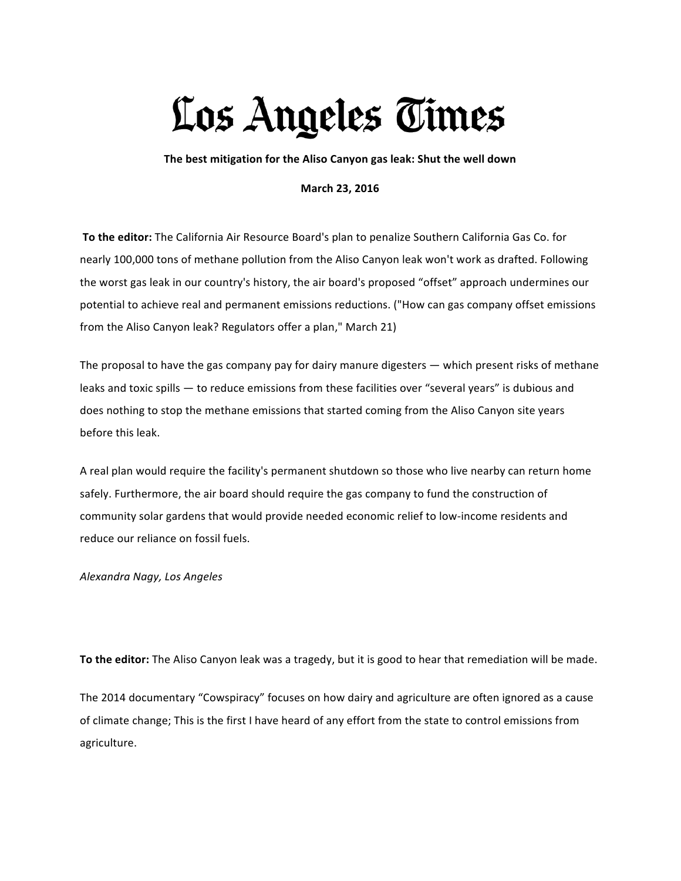## Los Angeles Times

The best mitigation for the Aliso Canyon gas leak: Shut the well down

## **March 23, 2016**

To the editor: The California Air Resource Board's plan to penalize Southern California Gas Co. for nearly 100,000 tons of methane pollution from the Aliso Canyon leak won't work as drafted. Following the worst gas leak in our country's history, the air board's proposed "offset" approach undermines our potential to achieve real and permanent emissions reductions. ("How can gas company offset emissions from the Aliso Canyon leak? Regulators offer a plan," March 21)

The proposal to have the gas company pay for dairy manure digesters  $-$  which present risks of methane leaks and toxic spills — to reduce emissions from these facilities over "several years" is dubious and does nothing to stop the methane emissions that started coming from the Aliso Canyon site years before this leak.

A real plan would require the facility's permanent shutdown so those who live nearby can return home safely. Furthermore, the air board should require the gas company to fund the construction of community solar gardens that would provide needed economic relief to low-income residents and reduce our reliance on fossil fuels.

*Alexandra Nagy, Los Angeles*

To the editor: The Aliso Canyon leak was a tragedy, but it is good to hear that remediation will be made.

The 2014 documentary "Cowspiracy" focuses on how dairy and agriculture are often ignored as a cause of climate change; This is the first I have heard of any effort from the state to control emissions from agriculture.